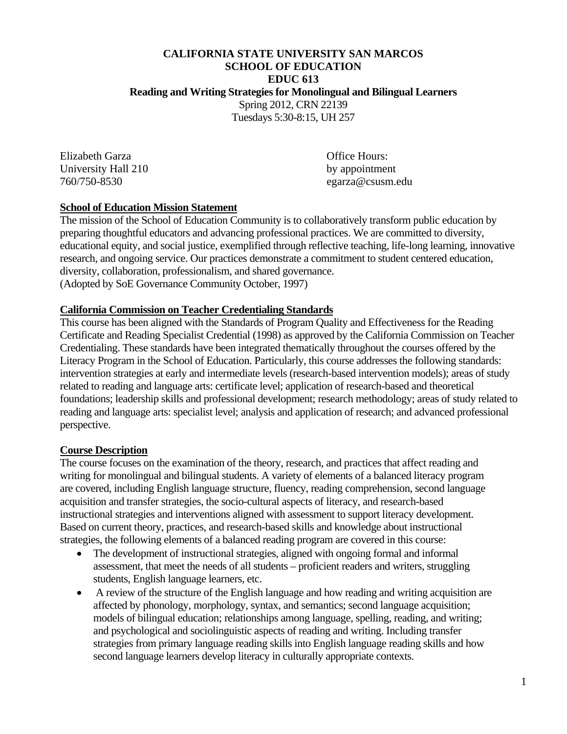#### **CALIFORNIA STATE UNIVERSITY SAN MARCOS SCHOOL OF EDUCATION EDUC 613 Reading and Writing Strategies for Monolingual and Bilingual Learners**  Spring 2012, CRN 22139

Tuesdays 5:30-8:15, UH 257

Elizabeth Garza **Office** Hours: University Hall 210 by appointment 760/750-8530 egarza@csusm.edu

#### **School of Education Mission Statement**

The mission of the School of Education Community is to collaboratively transform public education by preparing thoughtful educators and advancing professional practices. We are committed to diversity, educational equity, and social justice, exemplified through reflective teaching, life-long learning, innovative research, and ongoing service. Our practices demonstrate a commitment to student centered education, diversity, collaboration, professionalism, and shared governance. (Adopted by SoE Governance Community October, 1997)

#### **California Commission on Teacher Credentialing Standards**

 perspective. This course has been aligned with the Standards of Program Quality and Effectiveness for the Reading Certificate and Reading Specialist Credential (1998) as approved by the California Commission on Teacher Credentialing. These standards have been integrated thematically throughout the courses offered by the Literacy Program in the School of Education. Particularly, this course addresses the following standards: intervention strategies at early and intermediate levels (research-based intervention models); areas of study related to reading and language arts: certificate level; application of research-based and theoretical foundations; leadership skills and professional development; research methodology; areas of study related to reading and language arts: specialist level; analysis and application of research; and advanced professional

#### **Course Description**

The course focuses on the examination of the theory, research, and practices that affect reading and writing for monolingual and bilingual students. A variety of elements of a balanced literacy program are covered, including English language structure, fluency, reading comprehension, second language acquisition and transfer strategies, the socio-cultural aspects of literacy, and research-based instructional strategies and interventions aligned with assessment to support literacy development. Based on current theory, practices, and research-based skills and knowledge about instructional strategies, the following elements of a balanced reading program are covered in this course:

- The development of instructional strategies, aligned with ongoing formal and informal assessment, that meet the needs of all students – proficient readers and writers, struggling students, English language learners, etc.
- A review of the structure of the English language and how reading and writing acquisition are affected by phonology, morphology, syntax, and semantics; second language acquisition; models of bilingual education; relationships among language, spelling, reading, and writing; and psychological and sociolinguistic aspects of reading and writing. Including transfer strategies from primary language reading skills into English language reading skills and how second language learners develop literacy in culturally appropriate contexts.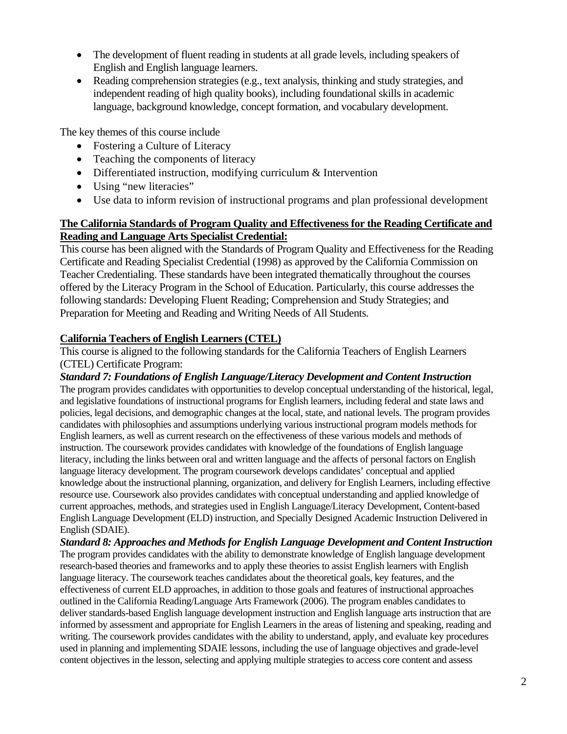- The development of fluent reading in students at all grade levels, including speakers of English and English language learners.
- Reading comprehension strategies (e.g., text analysis, thinking and study strategies, and independent reading of high quality books), including foundational skills in academic language, background knowledge, concept formation, and vocabulary development.

The key themes of this course include

- Fostering a Culture of Literacy
- Teaching the components of literacy
- Differentiated instruction, modifying curriculum & Intervention
- Using "new literacies"
- Use data to inform revision of instructional programs and plan professional development

#### **The California Standards of Program Quality and Effectiveness for the Reading Certificate and Reading and Language Arts Specialist Credential:**

This course has been aligned with the Standards of Program Quality and Effectiveness for the Reading Certificate and Reading Specialist Credential (1998) as approved by the California Commission on Teacher Credentialing. These standards have been integrated thematically throughout the courses offered by the Literacy Program in the School of Education. Particularly, this course addresses the following standards: Developing Fluent Reading; Comprehension and Study Strategies; and Preparation for Meeting and Reading and Writing Needs of All Students.

## **California Teachers of English Learners (CTEL)**

This course is aligned to the following standards for the California Teachers of English Learners (CTEL) Certificate Program:

*Standard 7: Foundations of English Language/Literacy Development and Content Instruction* 

The program provides candidates with opportunities to develop conceptual understanding of the historical, legal, and legislative foundations of instructional programs for English learners, including federal and state laws and policies, legal decisions, and demographic changes at the local, state, and national levels. The program provides candidates with philosophies and assumptions underlying various instructional program models methods for English learners, as well as current research on the effectiveness of these various models and methods of instruction. The coursework provides candidates with knowledge of the foundations of English language literacy, including the links between oral and written language and the affects of personal factors on English language literacy development. The program coursework develops candidates' conceptual and applied knowledge about the instructional planning, organization, and delivery for English Learners, including effective resource use. Coursework also provides candidates with conceptual understanding and applied knowledge of current approaches, methods, and strategies used in English Language/Literacy Development, Content-based English Language Development (ELD) instruction, and Specially Designed Academic Instruction Delivered in English (SDAIE).

*Standard 8: Approaches and Methods for English Language Development and Content Instruction*  The program provides candidates with the ability to demonstrate knowledge of English language development research-based theories and frameworks and to apply these theories to assist English learners with English language literacy. The coursework teaches candidates about the theoretical goals, key features, and the effectiveness of current ELD approaches, in addition to those goals and features of instructional approaches outlined in the California Reading/Language Arts Framework (2006). The program enables candidates to deliver standards-based English language development instruction and English language arts instruction that are informed by assessment and appropriate for English Learners in the areas of listening and speaking, reading and writing. The coursework provides candidates with the ability to understand, apply, and evaluate key procedures used in planning and implementing SDAIE lessons, including the use of language objectives and grade-level content objectives in the lesson, selecting and applying multiple strategies to access core content and assess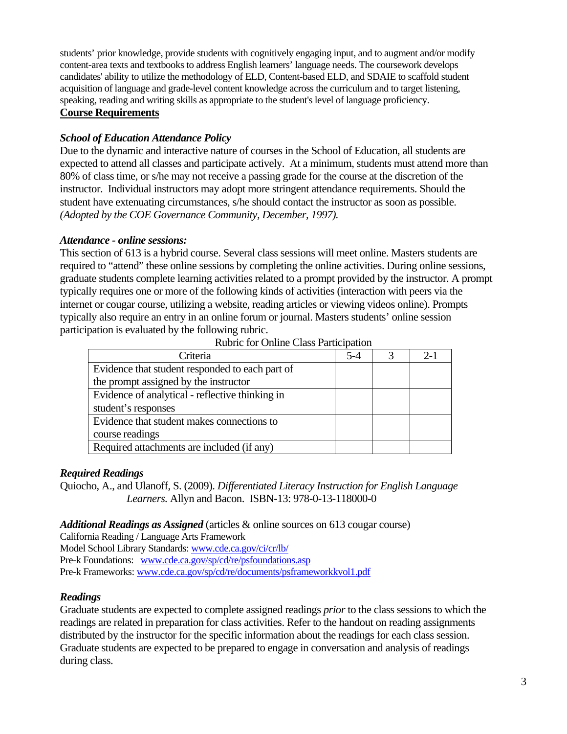students' prior knowledge, provide students with cognitively engaging input, and to augment and/or modify content-area texts and textbooks to address English learners' language needs. The coursework develops candidates' ability to utilize the methodology of ELD, Content-based ELD, and SDAIE to scaffold student acquisition of language and grade-level content knowledge across the curriculum and to target listening, speaking, reading and writing skills as appropriate to the student's level of language proficiency. **Course Requirements** 

## *School of Education Attendance Policy*

Due to the dynamic and interactive nature of courses in the School of Education, all students are expected to attend all classes and participate actively. At a minimum, students must attend more than 80% of class time, or s/he may not receive a passing grade for the course at the discretion of the instructor. Individual instructors may adopt more stringent attendance requirements. Should the student have extenuating circumstances, s/he should contact the instructor as soon as possible. *(Adopted by the COE Governance Community, December, 1997).* 

## *Attendance - online sessions:*

This section of 613 is a hybrid course. Several class sessions will meet online. Masters students are required to "attend" these online sessions by completing the online activities. During online sessions, graduate students complete learning activities related to a prompt provided by the instructor. A prompt typically requires one or more of the following kinds of activities (interaction with peers via the internet or cougar course, utilizing a website, reading articles or viewing videos online). Prompts typically also require an entry in an online forum or journal. Masters students' online session participation is evaluated by the following rubric.

| Criteria                                        | $5-4$ | $2 - 1$ |
|-------------------------------------------------|-------|---------|
| Evidence that student responded to each part of |       |         |
| the prompt assigned by the instructor           |       |         |
| Evidence of analytical - reflective thinking in |       |         |
| student's responses                             |       |         |
| Evidence that student makes connections to      |       |         |
| course readings                                 |       |         |
| Required attachments are included (if any)      |       |         |

Rubric for Online Class Participation

## *Required Readings*

Quiocho, A., and Ulanoff, S. (2009). *Differentiated Literacy Instruction for English Language Learners.* Allyn and Bacon. ISBN-13: 978-0-13-118000-0

## *Additional Readings as Assigned* (articles & online sources on 613 cougar course)

California Reading / Language Arts Framework

Model School Library Standards: www.cde.ca.gov/ci/cr/lb/

Pre-k Foundations: www.cde.ca.gov/sp/cd/re/psfoundations.asp Pre-k Frameworks: www.cde.ca.gov/sp/cd/re/documents/psframeworkkvol1.pdf

# *Readings*

Graduate students are expected to complete assigned readings *prior* to the class sessions to which the readings are related in preparation for class activities. Refer to the handout on reading assignments distributed by the instructor for the specific information about the readings for each class session. Graduate students are expected to be prepared to engage in conversation and analysis of readings during class.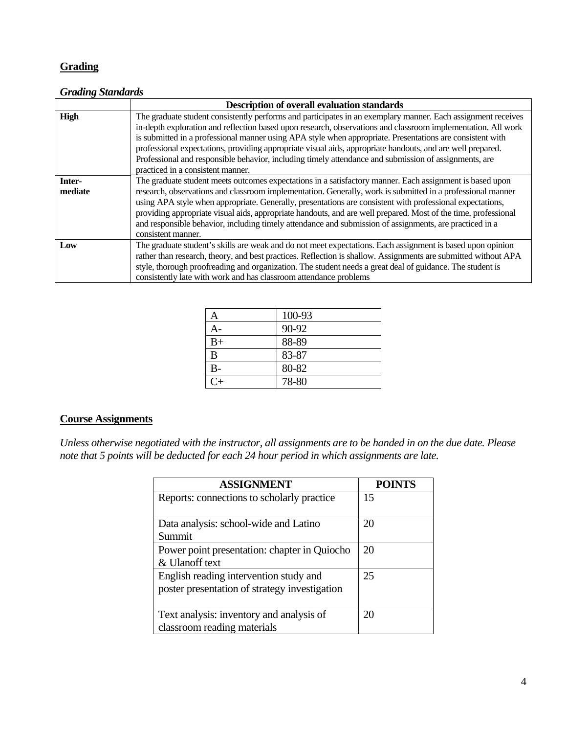## **Grading**

#### *Grading Standards*

|             | <b>Description of overall evaluation standards</b>                                                                                                                                                                        |  |  |
|-------------|---------------------------------------------------------------------------------------------------------------------------------------------------------------------------------------------------------------------------|--|--|
| <b>High</b> | The graduate student consistently performs and participates in an exemplary manner. Each assignment receives                                                                                                              |  |  |
|             | in-depth exploration and reflection based upon research, observations and classroom implementation. All work<br>is submitted in a professional manner using APA style when appropriate. Presentations are consistent with |  |  |
|             | professional expectations, providing appropriate visual aids, appropriate handouts, and are well prepared.                                                                                                                |  |  |
|             | Professional and responsible behavior, including timely attendance and submission of assignments, are                                                                                                                     |  |  |
|             | practiced in a consistent manner.                                                                                                                                                                                         |  |  |
| Inter-      | The graduate student meets outcomes expectations in a satisfactory manner. Each assignment is based upon                                                                                                                  |  |  |
| mediate     | research, observations and classroom implementation. Generally, work is submitted in a professional manner                                                                                                                |  |  |
|             | using APA style when appropriate. Generally, presentations are consistent with professional expectations,                                                                                                                 |  |  |
|             | providing appropriate visual aids, appropriate handouts, and are well prepared. Most of the time, professional                                                                                                            |  |  |
|             | and responsible behavior, including timely attendance and submission of assignments, are practiced in a                                                                                                                   |  |  |
|             | consistent manner.                                                                                                                                                                                                        |  |  |
| Low         | The graduate student's skills are weak and do not meet expectations. Each assignment is based upon opinion                                                                                                                |  |  |
|             | rather than research, theory, and best practices. Reflection is shallow. Assignments are submitted without APA                                                                                                            |  |  |
|             | style, thorough proofreading and organization. The student needs a great deal of guidance. The student is                                                                                                                 |  |  |
|             | consistently late with work and has classroom attendance problems                                                                                                                                                         |  |  |

| Α       | 100-93 |
|---------|--------|
| А-      | 90-92  |
| $B+$    | 88-89  |
| B       | 83-87  |
| $B-$    | 80-82  |
| $C_{+}$ | 78-80  |

#### **Course Assignments**

*Unless otherwise negotiated with the instructor, all assignments are to be handed in on the due date. Please note that 5 points will be deducted for each 24 hour period in which assignments are late.* 

| <b>ASSIGNMENT</b>                                                                       | <b>POINTS</b> |
|-----------------------------------------------------------------------------------------|---------------|
| Reports: connections to scholarly practice                                              | 15            |
| Data analysis: school-wide and Latino<br>Summit                                         | 20            |
| Power point presentation: chapter in Quiocho<br>& Ulanoff text                          | 20            |
| English reading intervention study and<br>poster presentation of strategy investigation | 25            |
| Text analysis: inventory and analysis of<br>classroom reading materials                 | 20            |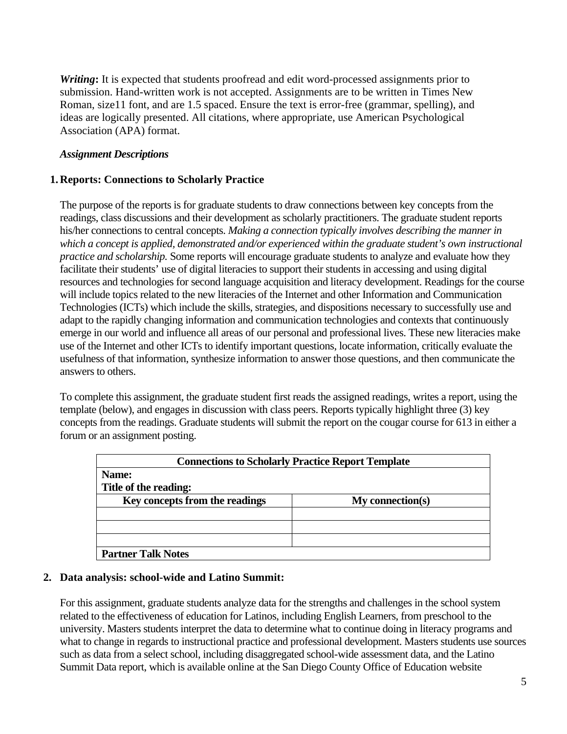*Writing***:** It is expected that students proofread and edit word-processed assignments prior to submission. Hand-written work is not accepted. Assignments are to be written in Times New Roman, size11 font, and are 1.5 spaced. Ensure the text is error-free (grammar, spelling), and ideas are logically presented. All citations, where appropriate, use American Psychological Association (APA) format.

#### *Assignment Descriptions*

#### **1. Reports: Connections to Scholarly Practice**

The purpose of the reports is for graduate students to draw connections between key concepts from the readings, class discussions and their development as scholarly practitioners. The graduate student reports his/her connections to central concepts. *Making a connection typically involves describing the manner in which a concept is applied, demonstrated and/or experienced within the graduate student's own instructional practice and scholarship.* Some reports will encourage graduate students to analyze and evaluate how they facilitate their students' use of digital literacies to support their students in accessing and using digital resources and technologies for second language acquisition and literacy development. Readings for the course will include topics related to the new literacies of the Internet and other Information and Communication Technologies (ICTs) which include the skills, strategies, and dispositions necessary to successfully use and adapt to the rapidly changing information and communication technologies and contexts that continuously emerge in our world and influence all areas of our personal and professional lives. These new literacies make use of the Internet and other ICTs to identify important questions, locate information, critically evaluate the usefulness of that information, synthesize information to answer those questions, and then communicate the answers to others.

To complete this assignment, the graduate student first reads the assigned readings, writes a report, using the template (below), and engages in discussion with class peers. Reports typically highlight three (3) key concepts from the readings. Graduate students will submit the report on the cougar course for 613 in either a forum or an assignment posting.

| <b>Connections to Scholarly Practice Report Template</b> |                  |  |
|----------------------------------------------------------|------------------|--|
| Name:                                                    |                  |  |
| Title of the reading:                                    |                  |  |
| Key concepts from the readings                           | My connection(s) |  |
|                                                          |                  |  |
|                                                          |                  |  |
|                                                          |                  |  |
| <b>Partner Talk Notes</b>                                |                  |  |

#### **2. Data analysis: school-wide and Latino Summit:**

For this assignment, graduate students analyze data for the strengths and challenges in the school system related to the effectiveness of education for Latinos, including English Learners, from preschool to the university. Masters students interpret the data to determine what to continue doing in literacy programs and what to change in regards to instructional practice and professional development. Masters students use sources such as data from a select school, including disaggregated school-wide assessment data, and the Latino Summit Data report, which is available online at the San Diego County Office of Education website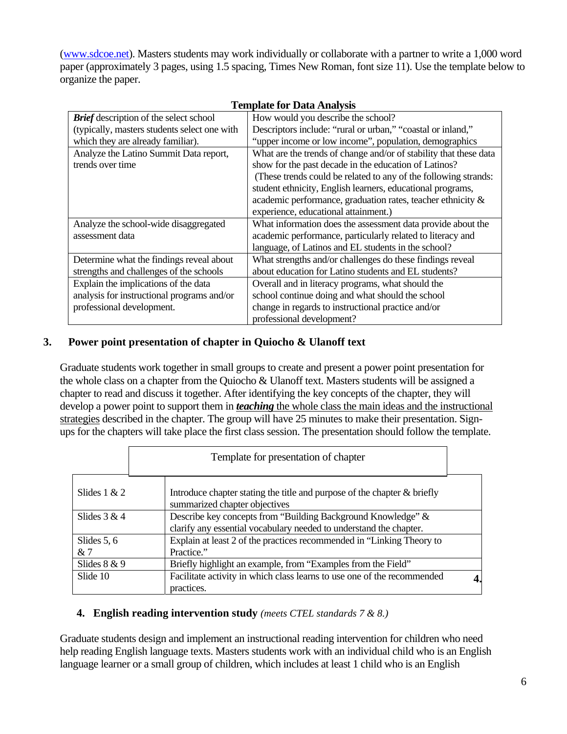organize the paper. (www.sdcoe.net). Masters students may work individually or collaborate with a partner to write a 1,000 word paper (approximately 3 pages, using 1.5 spacing, Times New Roman, font size 11). Use the template below to

| TUILDIALU IVI DALA AIIAIVSIS                  |                                                                   |  |  |
|-----------------------------------------------|-------------------------------------------------------------------|--|--|
| <b>Brief</b> description of the select school | How would you describe the school?                                |  |  |
| (typically, masters students select one with  | Descriptors include: "rural or urban," "coastal or inland,"       |  |  |
| which they are already familiar).             | "upper income or low income", population, demographics            |  |  |
| Analyze the Latino Summit Data report,        | What are the trends of change and/or of stability that these data |  |  |
| trends over time                              | show for the past decade in the education of Latinos?             |  |  |
|                                               | (These trends could be related to any of the following strands:   |  |  |
|                                               | student ethnicity, English learners, educational programs,        |  |  |
|                                               | academic performance, graduation rates, teacher ethnicity &       |  |  |
|                                               | experience, educational attainment.)                              |  |  |
| Analyze the school-wide disaggregated         | What information does the assessment data provide about the       |  |  |
| assessment data                               | academic performance, particularly related to literacy and        |  |  |
|                                               | language, of Latinos and EL students in the school?               |  |  |
| Determine what the findings reveal about      | What strengths and/or challenges do these findings reveal         |  |  |
| strengths and challenges of the schools       | about education for Latino students and EL students?              |  |  |
| Explain the implications of the data          | Overall and in literacy programs, what should the                 |  |  |
| analysis for instructional programs and/or    | school continue doing and what should the school                  |  |  |
| professional development.                     | change in regards to instructional practice and/or                |  |  |
|                                               | professional development?                                         |  |  |

#### **Template for Data Analysis**

## **3. Power point presentation of chapter in Quiocho & Ulanoff text**

Graduate students work together in small groups to create and present a power point presentation for the whole class on a chapter from the Quiocho & Ulanoff text. Masters students will be assigned a chapter to read and discuss it together. After identifying the key concepts of the chapter, they will develop a power point to support them in *teaching* the whole class the main ideas and the instructional strategies described in the chapter. The group will have 25 minutes to make their presentation. Signups for the chapters will take place the first class session. The presentation should follow the template.

|                     | Template for presentation of chapter                                                                                               |  |  |
|---------------------|------------------------------------------------------------------------------------------------------------------------------------|--|--|
| Slides $1 & 2$      | Introduce chapter stating the title and purpose of the chapter & briefly<br>summarized chapter objectives                          |  |  |
| Slides $3 & 4$      | Describe key concepts from "Building Background Knowledge" &<br>clarify any essential vocabulary needed to understand the chapter. |  |  |
| Slides $5, 6$<br>&7 | Explain at least 2 of the practices recommended in "Linking Theory to<br>Practice."                                                |  |  |
| Slides $8 & 9$      | Briefly highlight an example, from "Examples from the Field"                                                                       |  |  |
| Slide 10            | Facilitate activity in which class learns to use one of the recommended<br>practices.                                              |  |  |

## **4. English reading intervention study** *(meets CTEL standards 7 & 8.)*

Graduate students design and implement an instructional reading intervention for children who need help reading English language texts. Masters students work with an individual child who is an English language learner or a small group of children, which includes at least 1 child who is an English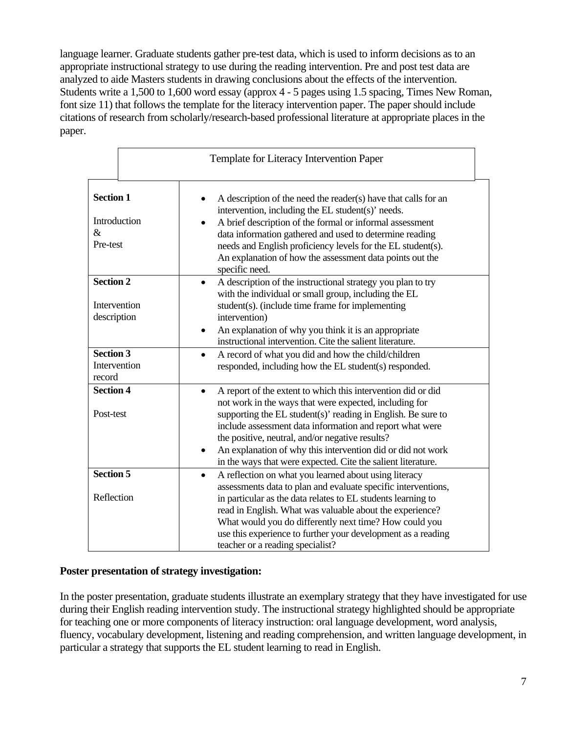language learner. Graduate students gather pre-test data, which is used to inform decisions as to an appropriate instructional strategy to use during the reading intervention. Pre and post test data are analyzed to aide Masters students in drawing conclusions about the effects of the intervention. Students write a 1,500 to 1,600 word essay (approx 4 - 5 pages using 1.5 spacing, Times New Roman, font size 11) that follows the template for the literacy intervention paper. The paper should include citations of research from scholarly/research-based professional literature at appropriate places in the paper.

|                                                      | Template for Literacy Intervention Paper                                                                                                                                                                                                                                                                                                                                                                                                          |  |  |
|------------------------------------------------------|---------------------------------------------------------------------------------------------------------------------------------------------------------------------------------------------------------------------------------------------------------------------------------------------------------------------------------------------------------------------------------------------------------------------------------------------------|--|--|
| <b>Section 1</b><br>Introduction<br>$\&$<br>Pre-test | A description of the need the reader(s) have that calls for an<br>intervention, including the EL student(s)' needs.<br>A brief description of the formal or informal assessment<br>$\bullet$<br>data information gathered and used to determine reading<br>needs and English proficiency levels for the EL student(s).<br>An explanation of how the assessment data points out the<br>specific need.                                              |  |  |
| <b>Section 2</b><br>Intervention<br>description      | A description of the instructional strategy you plan to try<br>$\bullet$<br>with the individual or small group, including the EL<br>student(s). (include time frame for implementing<br>intervention)<br>An explanation of why you think it is an appropriate<br>instructional intervention. Cite the salient literature.                                                                                                                         |  |  |
| <b>Section 3</b><br>Intervention<br>record           | A record of what you did and how the child/children<br>$\bullet$<br>responded, including how the EL student(s) responded.                                                                                                                                                                                                                                                                                                                         |  |  |
| <b>Section 4</b><br>Post-test                        | A report of the extent to which this intervention did or did<br>$\bullet$<br>not work in the ways that were expected, including for<br>supporting the EL student(s)' reading in English. Be sure to<br>include assessment data information and report what were<br>the positive, neutral, and/or negative results?<br>An explanation of why this intervention did or did not work<br>in the ways that were expected. Cite the salient literature. |  |  |
| <b>Section 5</b>                                     | A reflection on what you learned about using literacy<br>$\bullet$<br>assessments data to plan and evaluate specific interventions,                                                                                                                                                                                                                                                                                                               |  |  |
| Reflection                                           | in particular as the data relates to EL students learning to<br>read in English. What was valuable about the experience?<br>What would you do differently next time? How could you<br>use this experience to further your development as a reading<br>teacher or a reading specialist?                                                                                                                                                            |  |  |

## **Poster presentation of strategy investigation:**

In the poster presentation, graduate students illustrate an exemplary strategy that they have investigated for use during their English reading intervention study. The instructional strategy highlighted should be appropriate for teaching one or more components of literacy instruction: oral language development, word analysis, fluency, vocabulary development, listening and reading comprehension, and written language development, in particular a strategy that supports the EL student learning to read in English.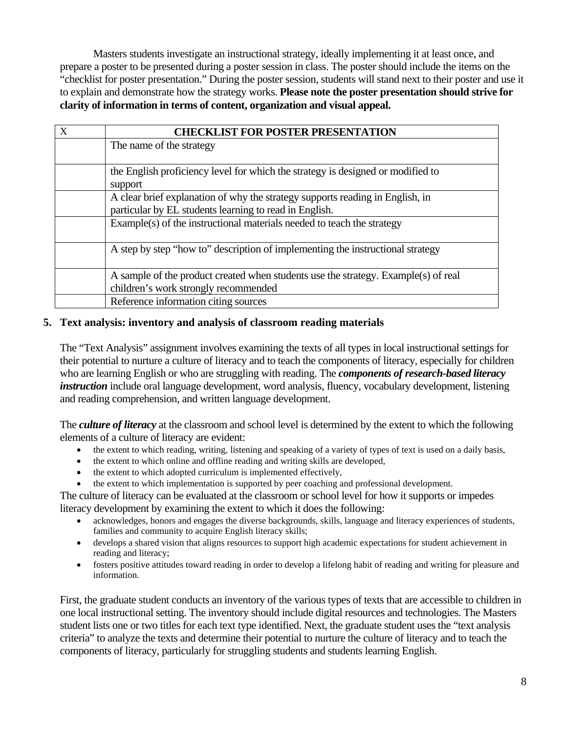**clarity of information in terms of content, organization and visual appeal.** Masters students investigate an instructional strategy, ideally implementing it at least once, and prepare a poster to be presented during a poster session in class. The poster should include the items on the "checklist for poster presentation." During the poster session, students will stand next to their poster and use it to explain and demonstrate how the strategy works. **Please note the poster presentation should strive for** 

| $\mathbf{X}$ | <b>CHECKLIST FOR POSTER PRESENTATION</b>                                                                                                |
|--------------|-----------------------------------------------------------------------------------------------------------------------------------------|
|              | The name of the strategy                                                                                                                |
|              | the English proficiency level for which the strategy is designed or modified to<br>support                                              |
|              | A clear brief explanation of why the strategy supports reading in English, in<br>particular by EL students learning to read in English. |
|              |                                                                                                                                         |
|              | Example(s) of the instructional materials needed to teach the strategy                                                                  |
|              | A step by step "how to" description of implementing the instructional strategy                                                          |
|              | A sample of the product created when students use the strategy. Example(s) of real                                                      |
|              | children's work strongly recommended                                                                                                    |
|              | Reference information citing sources                                                                                                    |

#### **5. Text analysis: inventory and analysis of classroom reading materials**

The "Text Analysis" assignment involves examining the texts of all types in local instructional settings for their potential to nurture a culture of literacy and to teach the components of literacy, especially for children who are learning English or who are struggling with reading. The *components of research-based literacy instruction* include oral language development, word analysis, fluency, vocabulary development, listening and reading comprehension, and written language development.

The *culture of literacy* at the classroom and school level is determined by the extent to which the following elements of a culture of literacy are evident:

- the extent to which reading, writing, listening and speaking of a variety of types of text is used on a daily basis,
- the extent to which online and offline reading and writing skills are developed,
- the extent to which adopted curriculum is implemented effectively,
- the extent to which implementation is supported by peer coaching and professional development.

The culture of literacy can be evaluated at the classroom or school level for how it supports or impedes literacy development by examining the extent to which it does the following:

- acknowledges, honors and engages the diverse backgrounds, skills, language and literacy experiences of students, families and community to acquire English literacy skills;
- develops a shared vision that aligns resources to support high academic expectations for student achievement in reading and literacy;
- information. fosters positive attitudes toward reading in order to develop a lifelong habit of reading and writing for pleasure and

First, the graduate student conducts an inventory of the various types of texts that are accessible to children in one local instructional setting. The inventory should include digital resources and technologies. The Masters student lists one or two titles for each text type identified. Next, the graduate student uses the "text analysis criteria" to analyze the texts and determine their potential to nurture the culture of literacy and to teach the components of literacy, particularly for struggling students and students learning English.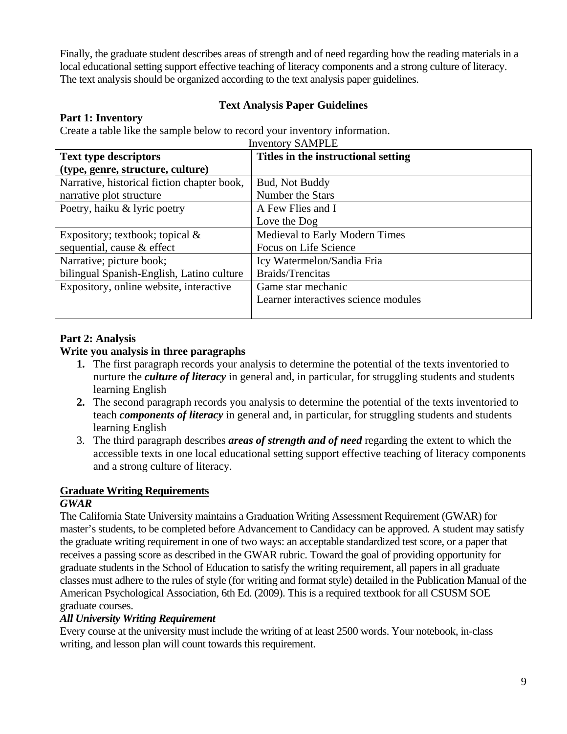Finally, the graduate student describes areas of strength and of need regarding how the reading materials in a local educational setting support effective teaching of literacy components and a strong culture of literacy. The text analysis should be organized according to the text analysis paper guidelines.

## **Text Analysis Paper Guidelines**

## **Part 1: Inventory**

Create a table like the sample below to record your inventory information.

| <b>Inventory SAMPLE</b>                                             |                                      |  |
|---------------------------------------------------------------------|--------------------------------------|--|
| Titles in the instructional setting<br><b>Text type descriptors</b> |                                      |  |
| (type, genre, structure, culture)                                   |                                      |  |
| Narrative, historical fiction chapter book,                         | Bud, Not Buddy                       |  |
| narrative plot structure                                            | Number the Stars                     |  |
| Poetry, haiku & lyric poetry                                        | A Few Flies and I                    |  |
|                                                                     | Love the Dog                         |  |
| Expository; textbook; topical $\&$                                  | Medieval to Early Modern Times       |  |
| sequential, cause & effect                                          | Focus on Life Science                |  |
| Narrative; picture book;                                            | Icy Watermelon/Sandia Fria           |  |
| bilingual Spanish-English, Latino culture                           | <b>Braids/Trencitas</b>              |  |
| Expository, online website, interactive                             | Game star mechanic                   |  |
|                                                                     | Learner interactives science modules |  |
|                                                                     |                                      |  |

## **Part 2: Analysis**

## **Write you analysis in three paragraphs**

- **1.** The first paragraph records your analysis to determine the potential of the texts inventoried to nurture the *culture of literacy* in general and, in particular, for struggling students and students learning English
- **2.** The second paragraph records you analysis to determine the potential of the texts inventoried to teach *components of literacy* in general and, in particular, for struggling students and students learning English
- 3. The third paragraph describes *areas of strength and of need* regarding the extent to which the accessible texts in one local educational setting support effective teaching of literacy components and a strong culture of literacy.

# **Graduate Writing Requirements**

# *GWAR*

The California State University maintains a Graduation Writing Assessment Requirement (GWAR) for master's students, to be completed before Advancement to Candidacy can be approved. A student may satisfy the graduate writing requirement in one of two ways: an acceptable standardized test score, or a paper that receives a passing score as described in the GWAR rubric. Toward the goal of providing opportunity for graduate students in the School of Education to satisfy the writing requirement, all papers in all graduate classes must adhere to the rules of style (for writing and format style) detailed in the Publication Manual of the American Psychological Association, 6th Ed. (2009). This is a required textbook for all CSUSM SOE graduate courses.

# *All University Writing Requirement*

Every course at the university must include the writing of at least 2500 words. Your notebook, in-class writing, and lesson plan will count towards this requirement.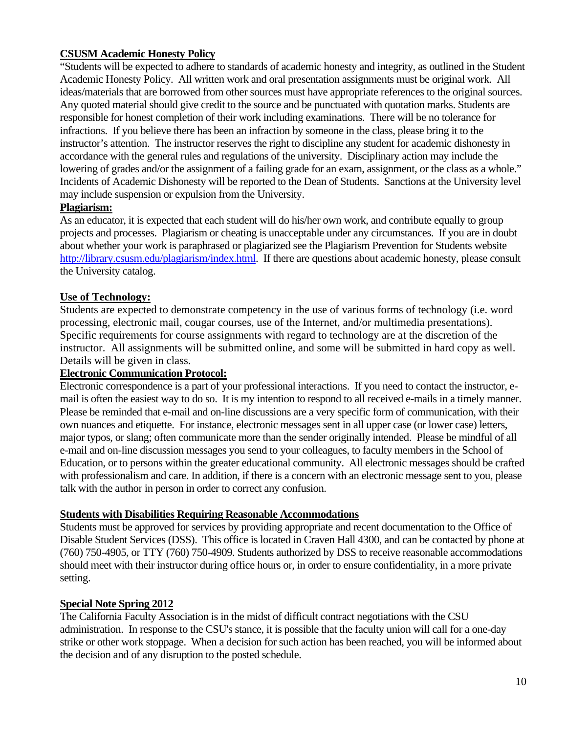## **CSUSM Academic Honesty Policy**

"Students will be expected to adhere to standards of academic honesty and integrity, as outlined in the Student Academic Honesty Policy. All written work and oral presentation assignments must be original work. All ideas/materials that are borrowed from other sources must have appropriate references to the original sources. Any quoted material should give credit to the source and be punctuated with quotation marks. Students are responsible for honest completion of their work including examinations. There will be no tolerance for infractions. If you believe there has been an infraction by someone in the class, please bring it to the instructor's attention. The instructor reserves the right to discipline any student for academic dishonesty in accordance with the general rules and regulations of the university. Disciplinary action may include the lowering of grades and/or the assignment of a failing grade for an exam, assignment, or the class as a whole." Incidents of Academic Dishonesty will be reported to the Dean of Students. Sanctions at the University level may include suspension or expulsion from the University.

## **Plagiarism:**

As an educator, it is expected that each student will do his/her own work, and contribute equally to group projects and processes. Plagiarism or cheating is unacceptable under any circumstances. If you are in doubt about whether your work is paraphrased or plagiarized see the Plagiarism Prevention for Students website http://library.csusm.edu/plagiarism/index.html. If there are questions about academic honesty, please consult the University catalog.

## **Use of Technology:**

processing, electronic mail, cougar courses, use of the Internet, and/or multimedia presentations). Students are expected to demonstrate competency in the use of various forms of technology (i.e. word Specific requirements for course assignments with regard to technology are at the discretion of the instructor. All assignments will be submitted online, and some will be submitted in hard copy as well. Details will be given in class.

## **Electronic Communication Protocol:**

Electronic correspondence is a part of your professional interactions. If you need to contact the instructor, email is often the easiest way to do so. It is my intention to respond to all received e-mails in a timely manner. Please be reminded that e-mail and on-line discussions are a very specific form of communication, with their own nuances and etiquette. For instance, electronic messages sent in all upper case (or lower case) letters, major typos, or slang; often communicate more than the sender originally intended. Please be mindful of all e-mail and on-line discussion messages you send to your colleagues, to faculty members in the School of Education, or to persons within the greater educational community. All electronic messages should be crafted with professionalism and care. In addition, if there is a concern with an electronic message sent to you, please talk with the author in person in order to correct any confusion.

## **Students with Disabilities Requiring Reasonable Accommodations**

Students must be approved for services by providing appropriate and recent documentation to the Office of Disable Student Services (DSS). This office is located in Craven Hall 4300, and can be contacted by phone at (760) 750-4905, or TTY (760) 750-4909. Students authorized by DSS to receive reasonable accommodations should meet with their instructor during office hours or, in order to ensure confidentiality, in a more private setting.

## **Special Note Spring 2012**

The California Faculty Association is in the midst of difficult contract negotiations with the CSU administration. In response to the CSU's stance, it is possible that the faculty union will call for a one-day strike or other work stoppage. When a decision for such action has been reached, you will be informed about the decision and of any disruption to the posted schedule.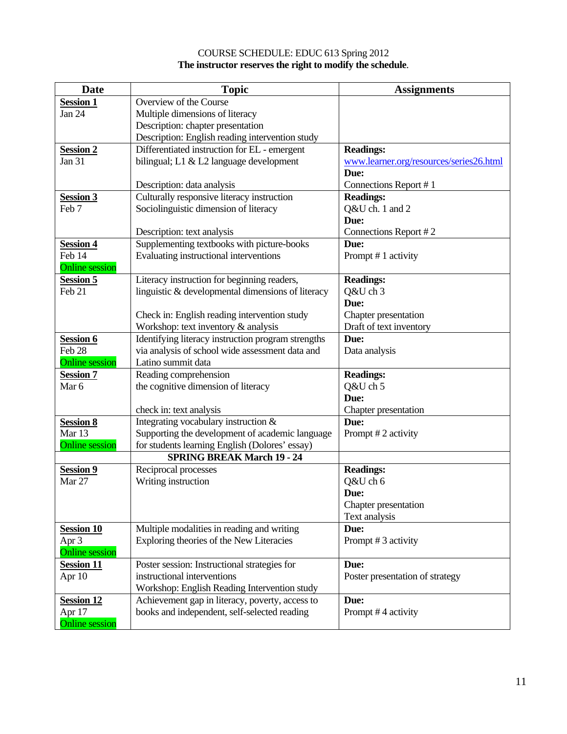#### COURSE SCHEDULE: EDUC 613 Spring 2012 **The instructor reserves the right to modify the schedule**.

| <b>Date</b>           | <b>Topic</b>                                       | <b>Assignments</b>                      |
|-----------------------|----------------------------------------------------|-----------------------------------------|
| <b>Session 1</b>      | Overview of the Course                             |                                         |
| Jan 24                | Multiple dimensions of literacy                    |                                         |
|                       | Description: chapter presentation                  |                                         |
|                       | Description: English reading intervention study    |                                         |
| <b>Session 2</b>      | Differentiated instruction for EL - emergent       | <b>Readings:</b>                        |
| Jan 31                | bilingual; L1 & L2 language development            | www.learner.org/resources/series26.html |
|                       |                                                    | Due:                                    |
|                       | Description: data analysis                         | Connections Report #1                   |
| <b>Session 3</b>      | Culturally responsive literacy instruction         | <b>Readings:</b>                        |
| Feb 7                 | Sociolinguistic dimension of literacy              | Q&U ch. 1 and 2                         |
|                       |                                                    | Due:                                    |
|                       | Description: text analysis                         | Connections Report #2                   |
| <b>Session 4</b>      | Supplementing textbooks with picture-books         | Due:                                    |
| Feb 14                | Evaluating instructional interventions             | Prompt #1 activity                      |
| <b>Online</b> session |                                                    |                                         |
| <b>Session 5</b>      | Literacy instruction for beginning readers,        | <b>Readings:</b>                        |
| Feb 21                | linguistic & developmental dimensions of literacy  | Q&U ch 3                                |
|                       |                                                    | Due:                                    |
|                       | Check in: English reading intervention study       | Chapter presentation                    |
|                       | Workshop: text inventory & analysis                | Draft of text inventory                 |
| <b>Session 6</b>      | Identifying literacy instruction program strengths | Due:                                    |
| Feb <sub>28</sub>     | via analysis of school wide assessment data and    | Data analysis                           |
| <b>Online</b> session | Latino summit data                                 |                                         |
| <b>Session 7</b>      | Reading comprehension                              | <b>Readings:</b>                        |
| Mar 6                 | the cognitive dimension of literacy                | Q&U ch 5                                |
|                       |                                                    | Due:                                    |
|                       | check in: text analysis                            | Chapter presentation                    |
| <b>Session 8</b>      | Integrating vocabulary instruction &               | Due:                                    |
| Mar 13                | Supporting the development of academic language    | Prompt #2 activity                      |
| <b>Online</b> session | for students learning English (Dolores' essay)     |                                         |
|                       | <b>SPRING BREAK March 19 - 24</b>                  |                                         |
| <b>Session 9</b>      | Reciprocal processes                               | <b>Readings:</b>                        |
| Mar 27                | Writing instruction                                | Q&U ch 6                                |
|                       |                                                    | Due:                                    |
|                       |                                                    | Chapter presentation                    |
|                       |                                                    | Text analysis                           |
| <b>Session 10</b>     | Multiple modalities in reading and writing         | Due:                                    |
| Apr 3                 | Exploring theories of the New Literacies           | Prompt #3 activity                      |
| <b>Online session</b> |                                                    |                                         |
| <b>Session 11</b>     | Poster session: Instructional strategies for       | Due:                                    |
| Apr 10                | instructional interventions                        | Poster presentation of strategy         |
|                       | Workshop: English Reading Intervention study       |                                         |
| <b>Session 12</b>     | Achievement gap in literacy, poverty, access to    | Due:                                    |
| Apr 17                | books and independent, self-selected reading       | Prompt #4 activity                      |
| <b>Online</b> session |                                                    |                                         |